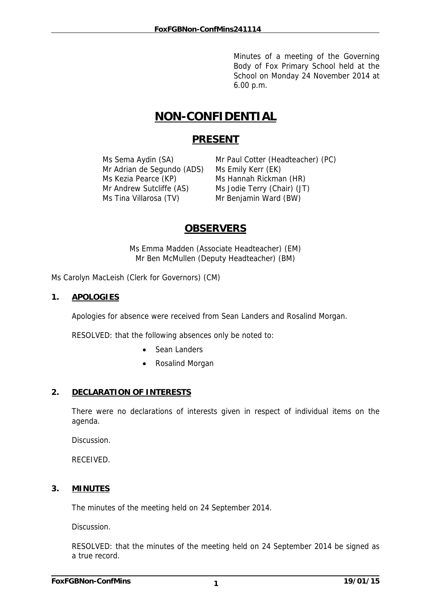Minutes of a meeting of the Governing Body of Fox Primary School held at the School on Monday 24 November 2014 at 6.00 p.m.

# **NON-CONFIDENTIAL**

## **PRESENT**

Mr Adrian de Segundo (ADS) Ms Emily Kerr (EK) Ms Kezia Pearce (KP) Ms Hannah Rickman (HR) Mr Andrew Sutcliffe (AS) Ms Jodie Terry (Chair) (JT) Ms Tina Villarosa (TV) Mr Benjamin Ward (BW)

Ms Sema Aydin (SA) Mr Paul Cotter (Headteacher) (PC)

## **OBSERVERS**

Ms Emma Madden (Associate Headteacher) (EM) Mr Ben McMullen (Deputy Headteacher) (BM)

Ms Carolyn MacLeish (Clerk for Governors) (CM)

## **1. APOLOGIES**

Apologies for absence were received from Sean Landers and Rosalind Morgan.

RESOLVED: that the following absences only be noted to:

- Sean Landers
- Rosalind Morgan

## **2. DECLARATION OF INTERESTS**

There were no declarations of interests given in respect of individual items on the agenda.

Discussion.

RECEIVED.

## **3. MINUTES**

The minutes of the meeting held on 24 September 2014.

Discussion.

RESOLVED: that the minutes of the meeting held on 24 September 2014 be signed as a true record.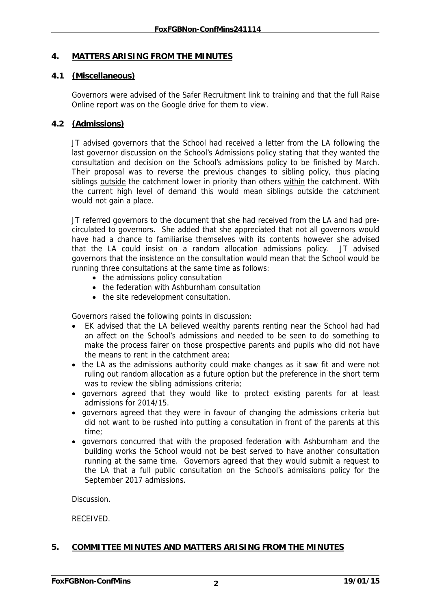## **4. MATTERS ARISING FROM THE MINUTES**

## **4.1 (Miscellaneous)**

Governors were advised of the Safer Recruitment link to training and that the full Raise Online report was on the Google drive for them to view.

## **4.2 (Admissions)**

JT advised governors that the School had received a letter from the LA following the last governor discussion on the School's Admissions policy stating that they wanted the consultation and decision on the School's admissions policy to be finished by March. Their proposal was to reverse the previous changes to sibling policy, thus placing siblings outside the catchment lower in priority than others within the catchment. With the current high level of demand this would mean siblings outside the catchment would not gain a place.

JT referred governors to the document that she had received from the LA and had precirculated to governors. She added that she appreciated that not all governors would have had a chance to familiarise themselves with its contents however she advised that the LA could insist on a random allocation admissions policy. JT advised governors that the insistence on the consultation would mean that the School would be running three consultations at the same time as follows:

- the admissions policy consultation
- the federation with Ashburnham consultation
- the site redevelopment consultation.

Governors raised the following points in discussion:

- EK advised that the LA believed wealthy parents renting near the School had had an affect on the School's admissions and needed to be seen to do something to make the process fairer on those prospective parents and pupils who did not have the means to rent in the catchment area;
- the LA as the admissions authority could make changes as it saw fit and were not ruling out random allocation as a future option but the preference in the short term was to review the sibling admissions criteria;
- governors agreed that they would like to protect existing parents for at least admissions for 2014/15.
- governors agreed that they were in favour of changing the admissions criteria but did not want to be rushed into putting a consultation in front of the parents at this time;
- governors concurred that with the proposed federation with Ashburnham and the building works the School would not be best served to have another consultation running at the same time. Governors agreed that they would submit a request to the LA that a full public consultation on the School's admissions policy for the September 2017 admissions.

**Discussion** 

RECEIVED.

## **5. COMMITTEE MINUTES AND MATTERS ARISING FROM THE MINUTES**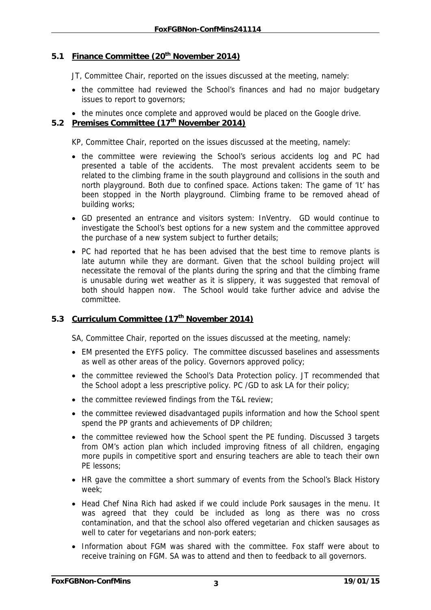## 5.1 Finance Committee (20<sup>th</sup> November 2014)

JT, Committee Chair, reported on the issues discussed at the meeting, namely:

- the committee had reviewed the School's finances and had no major budgetary issues to report to governors;
- the minutes once complete and approved would be placed on the Google drive.

## **5.2 Premises Committee (17th November 2014)**

KP, Committee Chair, reported on the issues discussed at the meeting, namely:

- the committee were reviewing the School's serious accidents log and PC had presented a table of the accidents. The most prevalent accidents seem to be related to the climbing frame in the south playground and collisions in the south and north playground. Both due to confined space. Actions taken: The game of 'It' has been stopped in the North playground. Climbing frame to be removed ahead of building works;
- GD presented an entrance and visitors system: InVentry. GD would continue to investigate the School's best options for a new system and the committee approved the purchase of a new system subject to further details;
- PC had reported that he has been advised that the best time to remove plants is late autumn while they are dormant. Given that the school building project will necessitate the removal of the plants during the spring and that the climbing frame is unusable during wet weather as it is slippery, it was suggested that removal of both should happen now. The School would take further advice and advise the committee.

## **5.3 Curriculum Committee (17th November 2014)**

SA, Committee Chair, reported on the issues discussed at the meeting, namely:

- EM presented the EYFS policy. The committee discussed baselines and assessments as well as other areas of the policy. Governors approved policy;
- the committee reviewed the School's Data Protection policy. JT recommended that the School adopt a less prescriptive policy. PC /GD to ask LA for their policy;
- the committee reviewed findings from the T&L review;
- the committee reviewed disadvantaged pupils information and how the School spent spend the PP grants and achievements of DP children;
- the committee reviewed how the School spent the PE funding. Discussed 3 targets from OM's action plan which included improving fitness of all children, engaging more pupils in competitive sport and ensuring teachers are able to teach their own PE lessons;
- HR gave the committee a short summary of events from the School's Black History week;
- Head Chef Nina Rich had asked if we could include Pork sausages in the menu. It was agreed that they could be included as long as there was no cross contamination, and that the school also offered vegetarian and chicken sausages as well to cater for vegetarians and non-pork eaters;
- Information about FGM was shared with the committee. Fox staff were about to receive training on FGM. SA was to attend and then to feedback to all governors.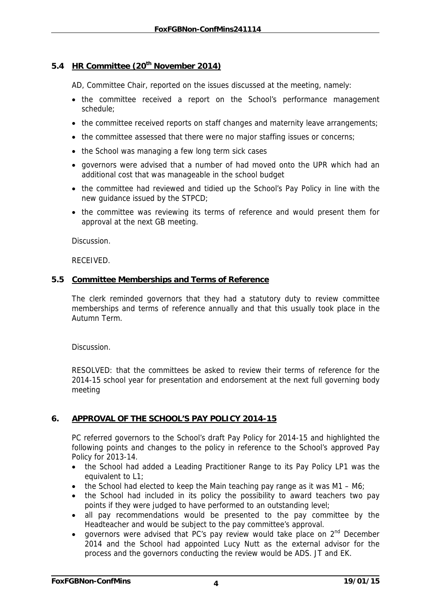## **5.4 HR Committee (20th November 2014)**

AD, Committee Chair, reported on the issues discussed at the meeting, namely:

- the committee received a report on the School's performance management schedule;
- the committee received reports on staff changes and maternity leave arrangements;
- the committee assessed that there were no major staffing issues or concerns;
- the School was managing a few long term sick cases
- governors were advised that a number of had moved onto the UPR which had an additional cost that was manageable in the school budget
- the committee had reviewed and tidied up the School's Pay Policy in line with the new guidance issued by the STPCD;
- the committee was reviewing its terms of reference and would present them for approval at the next GB meeting.

Discussion.

RECEIVED.

### **5.5 Committee Memberships and Terms of Reference**

The clerk reminded governors that they had a statutory duty to review committee memberships and terms of reference annually and that this usually took place in the Autumn Term.

Discussion.

RESOLVED: that the committees be asked to review their terms of reference for the 2014-15 school year for presentation and endorsement at the next full governing body meeting

## **6. APPROVAL OF THE SCHOOL'S PAY POLICY 2014-15**

PC referred governors to the School's draft Pay Policy for 2014-15 and highlighted the following points and changes to the policy in reference to the School's approved Pay Policy for 2013-14.

- the School had added a Leading Practitioner Range to its Pay Policy LP1 was the equivalent to L1;
- the School had elected to keep the Main teaching pay range as it was  $M1 M6$ ;
- the School had included in its policy the possibility to award teachers two pay points if they were judged to have performed to an outstanding level;
- all pay recommendations would be presented to the pay committee by the Headteacher and would be subject to the pay committee's approval.
- governors were advised that PC's pay review would take place on 2<sup>nd</sup> December 2014 and the School had appointed Lucy Nutt as the external advisor for the process and the governors conducting the review would be ADS. JT and EK.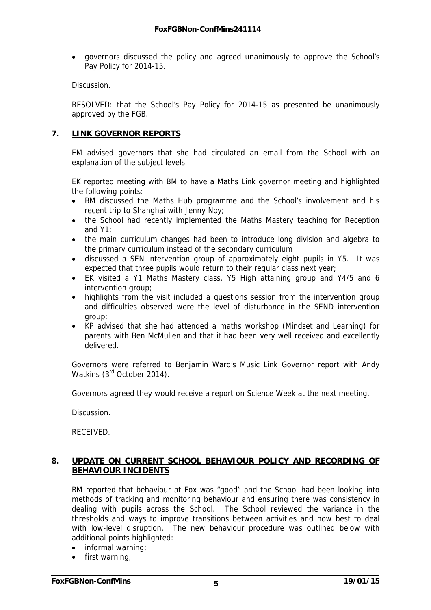• governors discussed the policy and agreed unanimously to approve the School's Pay Policy for 2014-15.

**Discussion** 

RESOLVED: that the School's Pay Policy for 2014-15 as presented be unanimously approved by the FGB.

## **7. LINK GOVERNOR REPORTS**

EM advised governors that she had circulated an email from the School with an explanation of the subject levels.

EK reported meeting with BM to have a Maths Link governor meeting and highlighted the following points:

- BM discussed the Maths Hub programme and the School's involvement and his recent trip to Shanghai with Jenny Noy;
- the School had recently implemented the Maths Mastery teaching for Reception and Y1;
- the main curriculum changes had been to introduce long division and algebra to the primary curriculum instead of the secondary curriculum
- discussed a SEN intervention group of approximately eight pupils in Y5. It was expected that three pupils would return to their regular class next year;
- EK visited a Y1 Maths Mastery class, Y5 High attaining group and Y4/5 and 6 intervention group;
- highlights from the visit included a questions session from the intervention group and difficulties observed were the level of disturbance in the SEND intervention group;
- KP advised that she had attended a maths workshop (Mindset and Learning) for parents with Ben McMullen and that it had been very well received and excellently delivered.

Governors were referred to Benjamin Ward's Music Link Governor report with Andy Watkins (3<sup>rd</sup> October 2014).

Governors agreed they would receive a report on Science Week at the next meeting.

Discussion.

RECEIVED.

## **8. UPDATE ON CURRENT SCHOOL BEHAVIOUR POLICY AND RECORDING OF BEHAVIOUR INCIDENTS**

BM reported that behaviour at Fox was "good" and the School had been looking into methods of tracking and monitoring behaviour and ensuring there was consistency in dealing with pupils across the School. The School reviewed the variance in the thresholds and ways to improve transitions between activities and how best to deal with low-level disruption. The new behaviour procedure was outlined below with additional points highlighted:

- informal warning;
- first warning;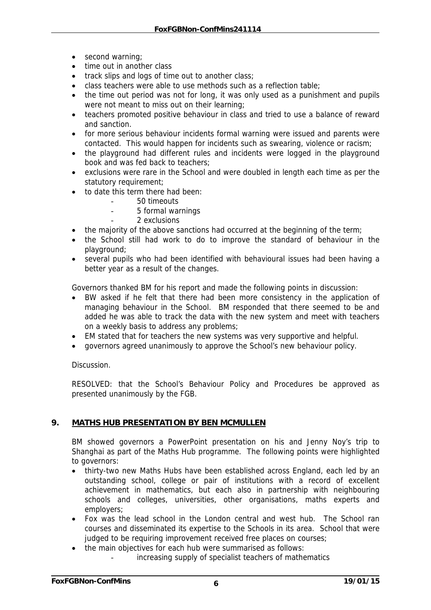- second warning;
- time out in another class
- track slips and logs of time out to another class;
- class teachers were able to use methods such as a reflection table;
- the time out period was not for long, it was only used as a punishment and pupils were not meant to miss out on their learning;
- teachers promoted positive behaviour in class and tried to use a balance of reward and sanction.
- for more serious behaviour incidents formal warning were issued and parents were contacted. This would happen for incidents such as swearing, violence or racism;
- the playground had different rules and incidents were logged in the playground book and was fed back to teachers;
- exclusions were rare in the School and were doubled in length each time as per the statutory requirement;
- to date this term there had been:
	- 50 timeouts
	- 5 formal warnings
	- 2 exclusions
- the majority of the above sanctions had occurred at the beginning of the term;
- the School still had work to do to improve the standard of behaviour in the playground;
- several pupils who had been identified with behavioural issues had been having a better year as a result of the changes.

Governors thanked BM for his report and made the following points in discussion:

- BW asked if he felt that there had been more consistency in the application of managing behaviour in the School. BM responded that there seemed to be and added he was able to track the data with the new system and meet with teachers on a weekly basis to address any problems;
- EM stated that for teachers the new systems was very supportive and helpful.
- governors agreed unanimously to approve the School's new behaviour policy.

Discussion.

RESOLVED: that the School's Behaviour Policy and Procedures be approved as presented unanimously by the FGB.

## **9. MATHS HUB PRESENTATION BY BEN MCMULLEN**

BM showed governors a PowerPoint presentation on his and Jenny Noy's trip to Shanghai as part of the Maths Hub programme. The following points were highlighted to governors:

- thirty-two new Maths Hubs have been established across England, each led by an outstanding school, college or pair of institutions with a record of excellent achievement in mathematics, but each also in partnership with neighbouring schools and colleges, universities, other organisations, maths experts and employers;
- Fox was the lead school in the London central and west hub. The School ran courses and disseminated its expertise to the Schools in its area. School that were judged to be requiring improvement received free places on courses;
- the main objectives for each hub were summarised as follows:
	- increasing supply of specialist teachers of mathematics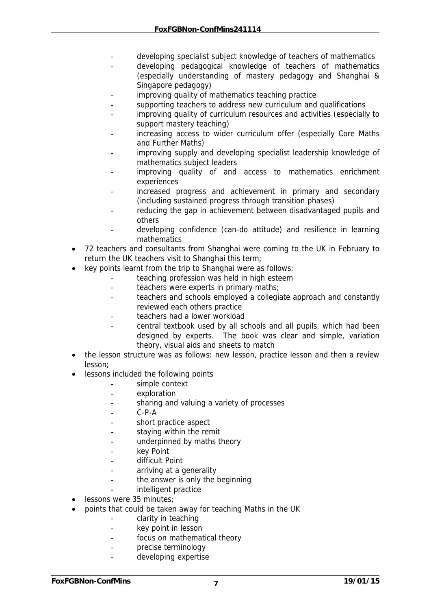- developing specialist subject knowledge of teachers of mathematics
- developing pedagogical knowledge of teachers of mathematics (especially understanding of mastery pedagogy and Shanghai & Singapore pedagogy)
- improving quality of mathematics teaching practice
- supporting teachers to address new curriculum and qualifications
- improving quality of curriculum resources and activities (especially to support mastery teaching)
- increasing access to wider curriculum offer (especially Core Maths and Further Maths)
- improving supply and developing specialist leadership knowledge of mathematics subject leaders
- improving quality of and access to mathematics enrichment experiences
- increased progress and achievement in primary and secondary (including sustained progress through transition phases)
- reducing the gap in achievement between disadvantaged pupils and others
- developing confidence (can-do attitude) and resilience in learning mathematics
- 72 teachers and consultants from Shanghai were coming to the UK in February to return the UK teachers visit to Shanghai this term;
- key points learnt from the trip to Shanghai were as follows:
	- teaching profession was held in high esteem
	- teachers were experts in primary maths;
	- teachers and schools employed a collegiate approach and constantly reviewed each others practice
	- teachers had a lower workload
	- central textbook used by all schools and all pupils, which had been designed by experts. The book was clear and simple, variation theory, visual aids and sheets to match
- the lesson structure was as follows: new lesson, practice lesson and then a review lesson;
- lessons included the following points
	- simple context
	- exploration
	- sharing and valuing a variety of processes
	- $C-P-A$
	- short practice aspect
	- staying within the remit
	- underpinned by maths theory
	- key Point
	- difficult Point
	- arriving at a generality
	- the answer is only the beginning
	- intelligent practice
- lessons were 35 minutes;
- points that could be taken away for teaching Maths in the UK
	- clarity in teaching
	- key point in lesson
	- focus on mathematical theory
	- precise terminology
	- developing expertise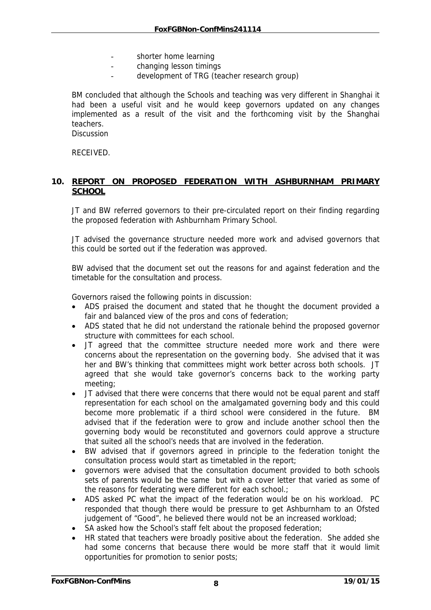- shorter home learning
- changing lesson timings
- development of TRG (teacher research group)

BM concluded that although the Schools and teaching was very different in Shanghai it had been a useful visit and he would keep governors updated on any changes implemented as a result of the visit and the forthcoming visit by the Shanghai teachers.

**Discussion** 

RECEIVED.

## **10. REPORT ON PROPOSED FEDERATION WITH ASHBURNHAM PRIMARY SCHOOL**

JT and BW referred governors to their pre-circulated report on their finding regarding the proposed federation with Ashburnham Primary School.

JT advised the governance structure needed more work and advised governors that this could be sorted out if the federation was approved.

BW advised that the document set out the reasons for and against federation and the timetable for the consultation and process.

Governors raised the following points in discussion:

- ADS praised the document and stated that he thought the document provided a fair and balanced view of the pros and cons of federation;
- ADS stated that he did not understand the rationale behind the proposed governor structure with committees for each school.
- JT agreed that the committee structure needed more work and there were concerns about the representation on the governing body. She advised that it was her and BW's thinking that committees might work better across both schools. JT agreed that she would take governor's concerns back to the working party meeting;
- JT advised that there were concerns that there would not be equal parent and staff representation for each school on the amalgamated governing body and this could become more problematic if a third school were considered in the future. BM advised that if the federation were to grow and include another school then the governing body would be reconstituted and governors could approve a structure that suited all the school's needs that are involved in the federation.
- BW advised that if governors agreed in principle to the federation tonight the consultation process would start as timetabled in the report;
- governors were advised that the consultation document provided to both schools sets of parents would be the same but with a cover letter that varied as some of the reasons for federating were different for each school.;
- ADS asked PC what the impact of the federation would be on his workload. PC responded that though there would be pressure to get Ashburnham to an Ofsted judgement of "Good", he believed there would not be an increased workload;
- SA asked how the School's staff felt about the proposed federation;
- HR stated that teachers were broadly positive about the federation. She added she had some concerns that because there would be more staff that it would limit opportunities for promotion to senior posts;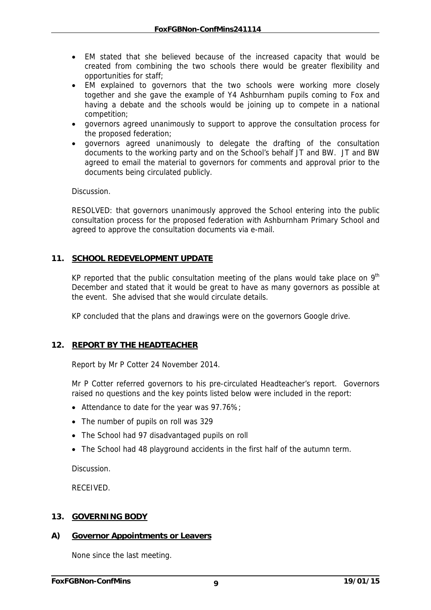- EM stated that she believed because of the increased capacity that would be created from combining the two schools there would be greater flexibility and opportunities for staff;
- EM explained to governors that the two schools were working more closely together and she gave the example of Y4 Ashburnham pupils coming to Fox and having a debate and the schools would be joining up to compete in a national competition;
- governors agreed unanimously to support to approve the consultation process for the proposed federation;
- governors agreed unanimously to delegate the drafting of the consultation documents to the working party and on the School's behalf JT and BW. JT and BW agreed to email the material to governors for comments and approval prior to the documents being circulated publicly.

Discussion.

RESOLVED: that governors unanimously approved the School entering into the public consultation process for the proposed federation with Ashburnham Primary School and agreed to approve the consultation documents via e-mail.

## **11. SCHOOL REDEVELOPMENT UPDATE**

KP reported that the public consultation meeting of the plans would take place on  $9<sup>th</sup>$ December and stated that it would be great to have as many governors as possible at the event. She advised that she would circulate details.

KP concluded that the plans and drawings were on the governors Google drive.

## **12. REPORT BY THE HEADTEACHER**

Report by Mr P Cotter 24 November 2014.

Mr P Cotter referred governors to his pre-circulated Headteacher's report. Governors raised no questions and the key points listed below were included in the report:

- Attendance to date for the year was 97.76%;
- The number of pupils on roll was 329
- The School had 97 disadvantaged pupils on roll
- The School had 48 playground accidents in the first half of the autumn term.

Discussion.

RECEIVED.

### **13. GOVERNING BODY**

### **A) Governor Appointments or Leavers**

None since the last meeting.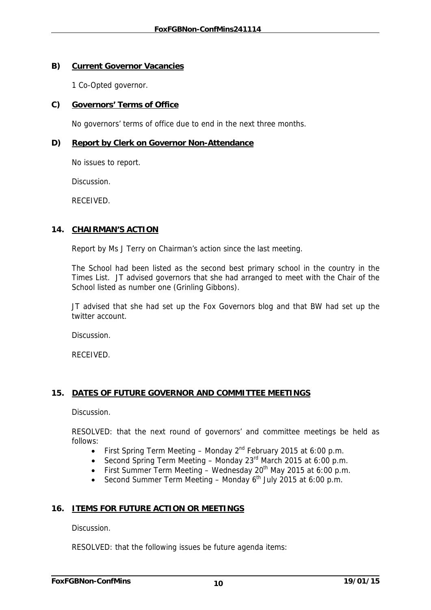## **B) Current Governor Vacancies**

1 Co-Opted governor.

## **C) Governors' Terms of Office**

No governors' terms of office due to end in the next three months.

## **D) Report by Clerk on Governor Non-Attendance**

No issues to report.

**Discussion** 

RECEIVED.

## **14. CHAIRMAN'S ACTION**

Report by Ms J Terry on Chairman's action since the last meeting.

The School had been listed as the second best primary school in the country in the Times List. JT advised governors that she had arranged to meet with the Chair of the School listed as number one (Grinling Gibbons).

JT advised that she had set up the Fox Governors blog and that BW had set up the twitter account.

Discussion.

RECEIVED.

## **15. DATES OF FUTURE GOVERNOR AND COMMITTEE MEETINGS**

Discussion.

RESOLVED: that the next round of governors' and committee meetings be held as follows:

- First Spring Term Meeting Monday  $2^{nd}$  February 2015 at 6:00 p.m.
- Second Spring Term Meeting Monday  $23<sup>rd</sup>$  March 2015 at 6:00 p.m.
- First Summer Term Meeting Wednesday 20<sup>th</sup> May 2015 at 6:00 p.m.
- Second Summer Term Meeting Monday  $6<sup>th</sup>$  July 2015 at 6:00 p.m.

## **16. ITEMS FOR FUTURE ACTION OR MEETINGS**

Discussion.

RESOLVED: that the following issues be future agenda items: